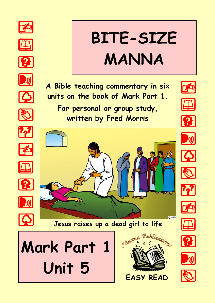



**EASY READ**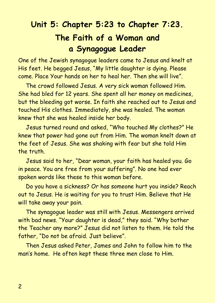# **Unit 5: Chapter 5:23 to Chapter 7:23. The Faith of a Woman and a Synagogue Leader**

One of the Jewish synagogue leaders came to Jesus and knelt at His feet. He begged Jesus, "My little daughter is dying. Please come. Place Your hands on her to heal her. Then she will live".

The crowd followed Jesus. A very sick woman followed Him. She had bled for 12 years. She spent all her money on medicines, but the bleeding got worse. In faith she reached out to Jesus and touched His clothes. Immediately, she was healed. The woman knew that she was healed inside her body.

Jesus turned round and asked, "Who touched My clothes?" He knew that power had gone out from Him. The woman knelt down at the feet of Jesus. She was shaking with fear but she told Him the truth.

Jesus said to her, "Dear woman, your faith has healed you. Go in peace. You are free from your suffering". No one had ever spoken words like these to this woman before.

Do you have a sickness? Or has someone hurt you inside? Reach out to Jesus. He is waiting for you to trust Him. Believe that He will take away your pain.

The synagogue leader was still with Jesus. Messengers arrived with bad news. "Your daughter is dead," they said. "Why bother the Teacher any more?" Jesus did not listen to them. He told the father, "Do not be afraid. Just believe".

Then Jesus asked Peter, James and John to follow him to the man's home. He often kept these three men close to Him.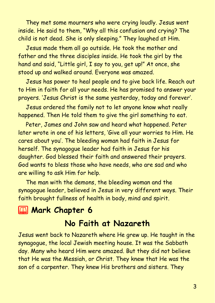They met some mourners who were crying loudly. Jesus went inside. He said to them, "Why all this confusion and crying? The child is not dead. She is only sleeping." They laughed at Him.

Jesus made them all go outside. He took the mother and father and the three disciples inside. He took the girl by the hand and said, "Little girl, I say to you, get up!" At once, she stood up and walked around. Everyone was amazed.

Jesus has power to heal people and to give back life. Reach out to Him in faith for all your needs. He has promised to answer your prayers. 'Jesus Christ is the same yesterday, today and forever'.

Jesus ordered the family not to let anyone know what really happened. Then He told them to give the girl something to eat.

Peter, James and John saw and heard what happened. Peter later wrote in one of his letters, 'Give all your worries to Him. He cares about you'. The bleeding woman had faith in Jesus for herself. The synagogue leader had faith in Jesus for his daughter. God blessed their faith and answered their prayers. God wants to bless those who have needs, who are sad and who are willing to ask Him for help.

The man with the demons, the bleeding woman and the synagogue leader, believed in Jesus in very different ways. Their faith brought fullness of health in body, mind and spirit.

# **2 Mark Chapter 6**

#### **No Faith at Nazareth**

Jesus went back to Nazareth where He grew up. He taught in the synagogue, the local Jewish meeting house. It was the Sabbath day. Many who heard Him were amazed. But they did not believe that He was the Messiah, or Christ. They knew that He was the son of a carpenter. They knew His brothers and sisters. They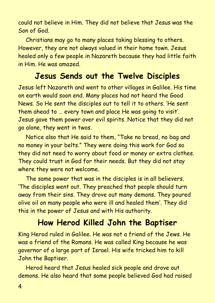could not believe in Him. They did not believe that Jesus was the Son of God.

Christians may go to many places taking blessing to others. However, they are not always valued in their home town. Jesus healed only a few people in Nazareth because they had little faith in Him. He was amazed.

#### **Jesus Sends out the Twelve Disciples**

Jesus left Nazareth and went to other villages in Galilee. His time on earth would soon end. Many places had not heard the Good News. So He sent the disciples out to tell it to others. 'He sent them ahead to … every town and place He was going to visit'. Jesus gave them power over evil spirits. Notice that they did not go alone, they went in twos.

Notice also that He said to them, "Take no bread, no bag and no money in your belts." They were doing this work for God so they did not need to worry about food or money or extra clothes. They could trust in God for their needs. But they did not stay where they were not welcome.

The same power that was in the disciples is in all believers. 'The disciples went out. They preached that people should turn away from their sins. They drove out many demons. They poured olive oil on many people who were ill and healed them'. They did this in the power of Jesus and with His authority.

# **How Herod Killed John the Baptiser**

King Herod ruled in Galilee. He was not a friend of the Jews. He was a friend of the Romans. He was called King because he was governor of a large part of Israel. His wife tricked him to kill John the Baptiser.

Herod heard that Jesus healed sick people and drove out demons. He also heard that some people believed God had raised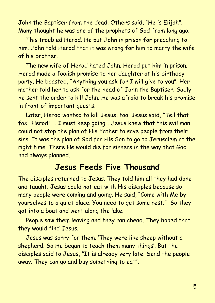John the Baptiser from the dead. Others said, "He is Elijah". Many thought he was one of the prophets of God from long ago.

This troubled Herod. He put John in prison for preaching to him. John told Herod that it was wrong for him to marry the wife of his brother.

The new wife of Herod hated John. Herod put him in prison. Herod made a foolish promise to her daughter at his birthday party. He boasted, "Anything you ask for I will give to you". Her mother told her to ask for the head of John the Baptiser. Sadly he sent the order to kill John. He was afraid to break his promise in front of important guests.

Later, Herod wanted to kill Jesus, too. Jesus said, "Tell that fox [Herod] … I must keep going". Jesus knew that this evil man could not stop the plan of His Father to save people from their sins. It was the plan of God for His Son to go to Jerusalem at the right time. There He would die for sinners in the way that God had always planned.

#### **Jesus Feeds Five Thousand**

The disciples returned to Jesus. They told him all they had done and taught. Jesus could not eat with His disciples because so many people were coming and going. He said, "Come with Me by yourselves to a quiet place. You need to get some rest." So they got into a boat and went along the lake.

People saw them leaving and they ran ahead. They hoped that they would find Jesus.

Jesus was sorry for them. 'They were like sheep without a shepherd. So He began to teach them many things'. But the disciples said to Jesus, "It is already very late. Send the people away. They can go and buy something to eat".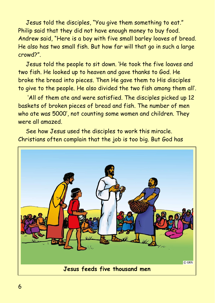Jesus told the disciples, "You give them something to eat." Philip said that they did not have enough money to buy food. Andrew said, "Here is a boy with five small barley loaves of bread. He also has two small fish. But how far will that go in such a large crowd?".

Jesus told the people to sit down. 'He took the five loaves and two fish. He looked up to heaven and gave thanks to God. He broke the bread into pieces. Then He gave them to His disciples to give to the people. He also divided the two fish among them all'.

'All of them ate and were satisfied. The disciples picked up 12 baskets of broken pieces of bread and fish. The number of men who ate was 5000', not counting some women and children. They were all amazed.

See how Jesus used the disciples to work this miracle. Christians often complain that the job is too big. But God has

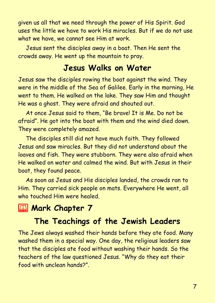given us all that we need through the power of His Spirit. God uses the little we have to work His miracles. But if we do not use what we have, we cannot see Him at work.

Jesus sent the disciples away in a boat. Then He sent the crowds away. He went up the mountain to pray.

#### **Jesus Walks on Water**

Jesus saw the disciples rowing the boat against the wind. They were in the middle of the Sea of Galilee. Early in the morning, He went to them. He walked on the lake. They saw Him and thought He was a ghost. They were afraid and shouted out.

At once Jesus said to them, "Be brave! It is Me. Do not be afraid". He got into the boat with them and the wind died down. They were completely amazed.

The disciples still did not have much faith. They followed Jesus and saw miracles. But they did not understand about the loaves and fish. They were stubborn. They were also afraid when He walked on water and calmed the wind. But with Jesus in their boat, they found peace.

As soon as Jesus and His disciples landed, the crowds ran to Him. They carried sick people on mats. Everywhere He went, all who touched Him were healed.

# **2 Mark Chapter 7**

# **The Teachings of the Jewish Leaders**

The Jews always washed their hands before they ate food. Many washed them in a special way. One day, the religious leaders saw that the disciples ate food without washing their hands. So the teachers of the law questioned Jesus. "Why do they eat their food with unclean hands?".